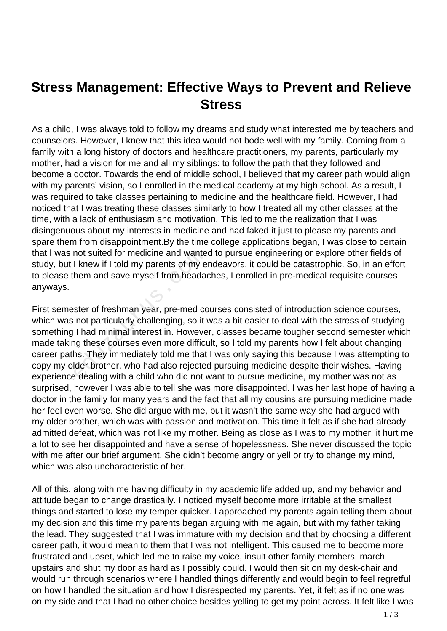## **Stress Management: Effective Ways to Prevent and Relieve Stress**

As a child, I was always told to follow my dreams and study what interested me by teachers and counselors. However, I knew that this idea would not bode well with my family. Coming from a family with a long history of doctors and healthcare practitioners, my parents, particularly my mother, had a vision for me and all my siblings: to follow the path that they followed and become a doctor. Towards the end of middle school, I believed that my career path would align with my parents' vision, so I enrolled in the medical academy at my high school. As a result, I was required to take classes pertaining to medicine and the healthcare field. However, I had noticed that I was treating these classes similarly to how I treated all my other classes at the time, with a lack of enthusiasm and motivation. This led to me the realization that I was disingenuous about my interests in medicine and had faked it just to please my parents and spare them from disappointment.By the time college applications began, I was close to certain that I was not suited for medicine and wanted to pursue engineering or explore other fields of study, but I knew if I told my parents of my endeavors, it could be catastrophic. So, in an effort to please them and save myself from headaches, I enrolled in pre-medical requisite courses anyways.

First semester of freshman year, pre-med courses consisted of introduction science courses, which was not particularly challenging, so it was a bit easier to deal with the stress of studying something I had minimal interest in. However, classes became tougher second semester which made taking these courses even more difficult, so I told my parents how I felt about changing career paths. They immediately told me that I was only saying this because I was attempting to copy my older brother, who had also rejected pursuing medicine despite their wishes. Having experience dealing with a child who did not want to pursue medicine, my mother was not as surprised, however I was able to tell she was more disappointed. I was her last hope of having a doctor in the family for many years and the fact that all my cousins are pursuing medicine made her feel even worse. She did argue with me, but it wasn't the same way she had argued with my older brother, which was with passion and motivation. This time it felt as if she had already admitted defeat, which was not like my mother. Being as close as I was to my mother, it hurt me a lot to see her disappointed and have a sense of hopelessness. She never discussed the topic with me after our brief argument. She didn't become angry or yell or try to change my mind, which was also uncharacteristic of her. not suited for medicine and wante<br>I knew if I told my parents of my e<br>hem and save myself from heada<br>ster of freshman year, pre-med co<br>not particularly challenging, so it<br>I had minimal interest in. Howeve<br>ng these courses

All of this, along with me having difficulty in my academic life added up, and my behavior and attitude began to change drastically. I noticed myself become more irritable at the smallest things and started to lose my temper quicker. I approached my parents again telling them about my decision and this time my parents began arguing with me again, but with my father taking the lead. They suggested that I was immature with my decision and that by choosing a different career path, it would mean to them that I was not intelligent. This caused me to become more frustrated and upset, which led me to raise my voice, insult other family members, march upstairs and shut my door as hard as I possibly could. I would then sit on my desk-chair and would run through scenarios where I handled things differently and would begin to feel regretful on how I handled the situation and how I disrespected my parents. Yet, it felt as if no one was on my side and that I had no other choice besides yelling to get my point across. It felt like I was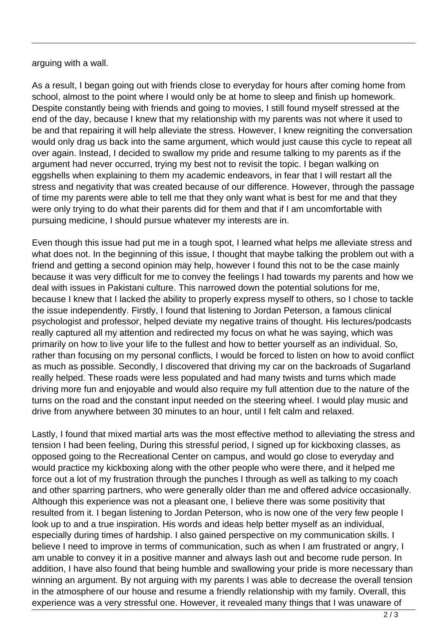arguing with a wall.

As a result, I began going out with friends close to everyday for hours after coming home from school, almost to the point where I would only be at home to sleep and finish up homework. Despite constantly being with friends and going to movies, I still found myself stressed at the end of the day, because I knew that my relationship with my parents was not where it used to be and that repairing it will help alleviate the stress. However, I knew reigniting the conversation would only drag us back into the same argument, which would just cause this cycle to repeat all over again. Instead, I decided to swallow my pride and resume talking to my parents as if the argument had never occurred, trying my best not to revisit the topic. I began walking on eggshells when explaining to them my academic endeavors, in fear that I will restart all the stress and negativity that was created because of our difference. However, through the passage of time my parents were able to tell me that they only want what is best for me and that they were only trying to do what their parents did for them and that if I am uncomfortable with pursuing medicine, I should pursue whatever my interests are in.

Even though this issue had put me in a tough spot, I learned what helps me alleviate stress and what does not. In the beginning of this issue, I thought that maybe talking the problem out with a friend and getting a second opinion may help, however I found this not to be the case mainly because it was very difficult for me to convey the feelings I had towards my parents and how we deal with issues in Pakistani culture. This narrowed down the potential solutions for me, because I knew that I lacked the ability to properly express myself to others, so I chose to tackle the issue independently. Firstly, I found that listening to Jordan Peterson, a famous clinical psychologist and professor, helped deviate my negative trains of thought. His lectures/podcasts really captured all my attention and redirected my focus on what he was saying, which was primarily on how to live your life to the fullest and how to better yourself as an individual. So, rather than focusing on my personal conflicts, I would be forced to listen on how to avoid conflict as much as possible. Secondly, I discovered that driving my car on the backroads of Sugarland really helped. These roads were less populated and had many twists and turns which made driving more fun and enjoyable and would also require my full attention due to the nature of the turns on the road and the constant input needed on the steering wheel. I would play music and drive from anywhere between 30 minutes to an hour, until I felt calm and relaxed. not. In the beginning of this issue<br>getting a second opinion may help<br>was very difficult for me to convey<br>ssues in Pakistani culture. This na<br>knew that I lacked the ability to pre-<br>ndependently. Firstly, I found that<br>ist a

Lastly, I found that mixed martial arts was the most effective method to alleviating the stress and tension I had been feeling, During this stressful period, I signed up for kickboxing classes, as opposed going to the Recreational Center on campus, and would go close to everyday and would practice my kickboxing along with the other people who were there, and it helped me force out a lot of my frustration through the punches I through as well as talking to my coach and other sparring partners, who were generally older than me and offered advice occasionally. Although this experience was not a pleasant one, I believe there was some positivity that resulted from it. I began listening to Jordan Peterson, who is now one of the very few people I look up to and a true inspiration. His words and ideas help better myself as an individual, especially during times of hardship. I also gained perspective on my communication skills. I believe I need to improve in terms of communication, such as when I am frustrated or angry, I am unable to convey it in a positive manner and always lash out and become rude person. In addition, I have also found that being humble and swallowing your pride is more necessary than winning an argument. By not arguing with my parents I was able to decrease the overall tension in the atmosphere of our house and resume a friendly relationship with my family. Overall, this experience was a very stressful one. However, it revealed many things that I was unaware of